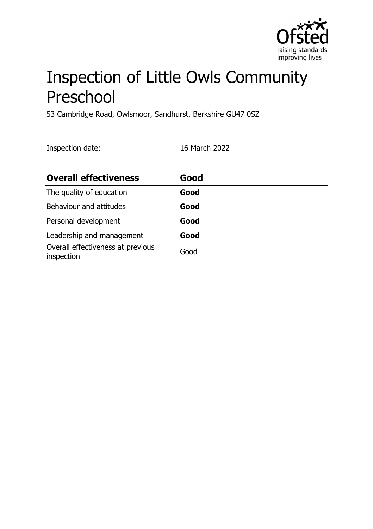

# Inspection of Little Owls Community Preschool

53 Cambridge Road, Owlsmoor, Sandhurst, Berkshire GU47 0SZ

Inspection date: 16 March 2022

| <b>Overall effectiveness</b>                    | Good |
|-------------------------------------------------|------|
| The quality of education                        | Good |
| Behaviour and attitudes                         | Good |
| Personal development                            | Good |
| Leadership and management                       | Good |
| Overall effectiveness at previous<br>inspection | Good |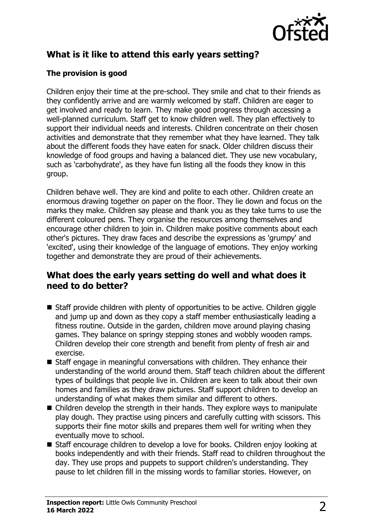

# **What is it like to attend this early years setting?**

#### **The provision is good**

Children enjoy their time at the pre-school. They smile and chat to their friends as they confidently arrive and are warmly welcomed by staff. Children are eager to get involved and ready to learn. They make good progress through accessing a well-planned curriculum. Staff get to know children well. They plan effectively to support their individual needs and interests. Children concentrate on their chosen activities and demonstrate that they remember what they have learned. They talk about the different foods they have eaten for snack. Older children discuss their knowledge of food groups and having a balanced diet. They use new vocabulary, such as 'carbohydrate', as they have fun listing all the foods they know in this group.

Children behave well. They are kind and polite to each other. Children create an enormous drawing together on paper on the floor. They lie down and focus on the marks they make. Children say please and thank you as they take turns to use the different coloured pens. They organise the resources among themselves and encourage other children to join in. Children make positive comments about each other's pictures. They draw faces and describe the expressions as 'grumpy' and 'excited', using their knowledge of the language of emotions. They enjoy working together and demonstrate they are proud of their achievements.

### **What does the early years setting do well and what does it need to do better?**

- $\blacksquare$  Staff provide children with plenty of opportunities to be active. Children giggle and jump up and down as they copy a staff member enthusiastically leading a fitness routine. Outside in the garden, children move around playing chasing games. They balance on springy stepping stones and wobbly wooden ramps. Children develop their core strength and benefit from plenty of fresh air and exercise.
- $\blacksquare$  Staff engage in meaningful conversations with children. They enhance their understanding of the world around them. Staff teach children about the different types of buildings that people live in. Children are keen to talk about their own homes and families as they draw pictures. Staff support children to develop an understanding of what makes them similar and different to others.
- $\blacksquare$  Children develop the strength in their hands. They explore ways to manipulate play dough. They practise using pincers and carefully cutting with scissors. This supports their fine motor skills and prepares them well for writing when they eventually move to school.
- Staff encourage children to develop a love for books. Children enjoy looking at books independently and with their friends. Staff read to children throughout the day. They use props and puppets to support children's understanding. They pause to let children fill in the missing words to familiar stories. However, on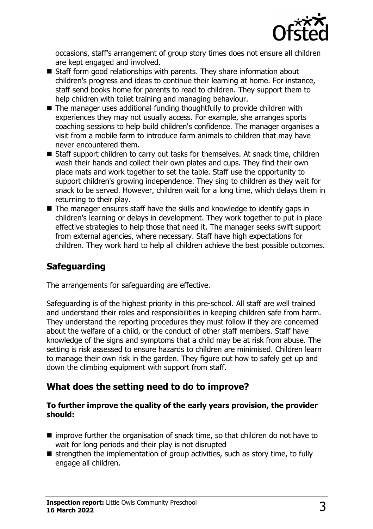

occasions, staff's arrangement of group story times does not ensure all children are kept engaged and involved.

- $\blacksquare$  Staff form good relationships with parents. They share information about children's progress and ideas to continue their learning at home. For instance, staff send books home for parents to read to children. They support them to help children with toilet training and managing behaviour.
- $\blacksquare$  The manager uses additional funding thoughtfully to provide children with experiences they may not usually access. For example, she arranges sports coaching sessions to help build children's confidence. The manager organises a visit from a mobile farm to introduce farm animals to children that may have never encountered them.
- $\blacksquare$  Staff support children to carry out tasks for themselves. At snack time, children wash their hands and collect their own plates and cups. They find their own place mats and work together to set the table. Staff use the opportunity to support children's growing independence. They sing to children as they wait for snack to be served. However, children wait for a long time, which delays them in returning to their play.
- $\blacksquare$  The manager ensures staff have the skills and knowledge to identify gaps in children's learning or delays in development. They work together to put in place effective strategies to help those that need it. The manager seeks swift support from external agencies, where necessary. Staff have high expectations for children. They work hard to help all children achieve the best possible outcomes.

## **Safeguarding**

The arrangements for safeguarding are effective.

Safeguarding is of the highest priority in this pre-school. All staff are well trained and understand their roles and responsibilities in keeping children safe from harm. They understand the reporting procedures they must follow if they are concerned about the welfare of a child, or the conduct of other staff members. Staff have knowledge of the signs and symptoms that a child may be at risk from abuse. The setting is risk assessed to ensure hazards to children are minimised. Children learn to manage their own risk in the garden. They figure out how to safely get up and down the climbing equipment with support from staff.

### **What does the setting need to do to improve?**

#### **To further improve the quality of the early years provision, the provider should:**

- $\blacksquare$  improve further the organisation of snack time, so that children do not have to wait for long periods and their play is not disrupted
- $\blacksquare$  strengthen the implementation of group activities, such as story time, to fully engage all children.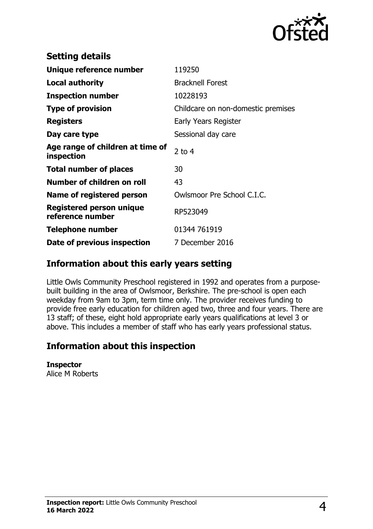

| <b>Setting details</b>                              |                                    |
|-----------------------------------------------------|------------------------------------|
| Unique reference number                             | 119250                             |
| <b>Local authority</b>                              | <b>Bracknell Forest</b>            |
| <b>Inspection number</b>                            | 10228193                           |
| <b>Type of provision</b>                            | Childcare on non-domestic premises |
| <b>Registers</b>                                    | Early Years Register               |
| Day care type                                       | Sessional day care                 |
| Age range of children at time of<br>inspection      | 2 to $4$                           |
| <b>Total number of places</b>                       | 30                                 |
| Number of children on roll                          | 43                                 |
| Name of registered person                           | Owlsmoor Pre School C.I.C.         |
| <b>Registered person unique</b><br>reference number | RP523049                           |
| Telephone number                                    | 01344 761919                       |
| Date of previous inspection                         | 7 December 2016                    |

## **Information about this early years setting**

Little Owls Community Preschool registered in 1992 and operates from a purposebuilt building in the area of Owlsmoor, Berkshire. The pre-school is open each weekday from 9am to 3pm, term time only. The provider receives funding to provide free early education for children aged two, three and four years. There are 13 staff; of these, eight hold appropriate early years qualifications at level 3 or above. This includes a member of staff who has early years professional status.

### **Information about this inspection**

**Inspector**

Alice M Roberts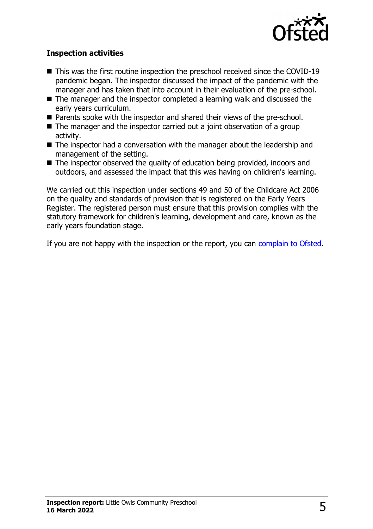

#### **Inspection activities**

- $\blacksquare$  This was the first routine inspection the preschool received since the COVID-19 pandemic began. The inspector discussed the impact of the pandemic with the manager and has taken that into account in their evaluation of the pre-school.
- $\blacksquare$  The manager and the inspector completed a learning walk and discussed the early years curriculum.
- Parents spoke with the inspector and shared their views of the pre-school.
- $\blacksquare$  The manager and the inspector carried out a joint observation of a group activity.
- $\blacksquare$  The inspector had a conversation with the manager about the leadership and management of the setting.
- $\blacksquare$  The inspector observed the quality of education being provided, indoors and outdoors, and assessed the impact that this was having on children's learning.

We carried out this inspection under sections 49 and 50 of the Childcare Act 2006 on the quality and standards of provision that is registered on the Early Years Register. The registered person must ensure that this provision complies with the statutory framework for children's learning, development and care, known as the early years foundation stage.

If you are not happy with the inspection or the report, you can [complain to Ofsted](http://www.gov.uk/complain-ofsted-report).